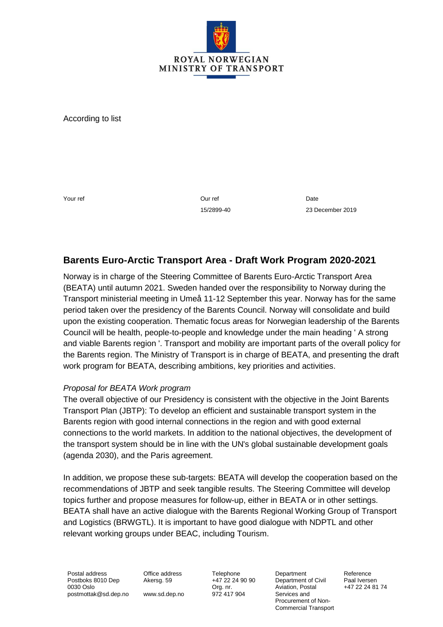

According to list

Your ref **Our ref Our ref** 

15/2899-40

Date 23 December 2019

# **Barents Euro-Arctic Transport Area - Draft Work Program 2020-2021**

Norway is in charge of the Steering Committee of Barents Euro-Arctic Transport Area (BEATA) until autumn 2021. Sweden handed over the responsibility to Norway during the Transport ministerial meeting in Umeå 11-12 September this year. Norway has for the same period taken over the presidency of the Barents Council. Norway will consolidate and build upon the existing cooperation. Thematic focus areas for Norwegian leadership of the Barents Council will be health, people-to-people and knowledge under the main heading ' A strong and viable Barents region '. Transport and mobility are important parts of the overall policy for the Barents region. The Ministry of Transport is in charge of BEATA, and presenting the draft work program for BEATA, describing ambitions, key priorities and activities.

#### *Proposal for BEATA Work program*

The overall objective of our Presidency is consistent with the objective in the Joint Barents Transport Plan (JBTP): To develop an efficient and sustainable transport system in the Barents region with good internal connections in the region and with good external connections to the world markets. In addition to the national objectives, the development of the transport system should be in line with the UN's global sustainable development goals (agenda 2030), and the Paris agreement.

In addition, we propose these sub-targets: BEATA will develop the cooperation based on the recommendations of JBTP and seek tangible results. The Steering Committee will develop topics further and propose measures for follow-up, either in BEATA or in other settings. BEATA shall have an active dialogue with the Barents Regional Working Group of Transport and Logistics (BRWGTL). It is important to have good dialogue with NDPTL and other relevant working groups under BEAC, including Tourism.

Postal address Postboks 8010 Dep 0030 Oslo postmottak@sd.dep.no Office address Akersg. 59

www.sd.dep.no Org. nr.

Telephone +47 22 24 90 90 972 417 904

Department Department of Civil Aviation, Postal Services and Procurement of Non-Commercial Transport Reference Paal Iversen +47 22 24 81 74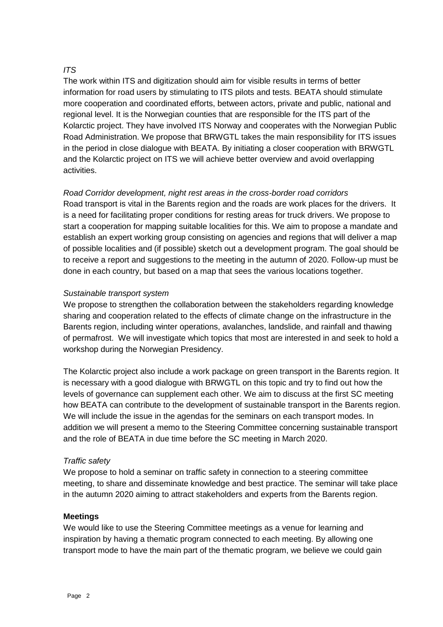## *ITS*

The work within ITS and digitization should aim for visible results in terms of better information for road users by stimulating to ITS pilots and tests. BEATA should stimulate more cooperation and coordinated efforts, between actors, private and public, national and regional level. It is the Norwegian counties that are responsible for the ITS part of the Kolarctic project. They have involved ITS Norway and cooperates with the Norwegian Public Road Administration. We propose that BRWGTL takes the main responsibility for ITS issues in the period in close dialogue with BEATA. By initiating a closer cooperation with BRWGTL and the Kolarctic project on ITS we will achieve better overview and avoid overlapping activities.

## *Road Corridor development, night rest areas in the cross-border road corridors*

Road transport is vital in the Barents region and the roads are work places for the drivers. It is a need for facilitating proper conditions for resting areas for truck drivers. We propose to start a cooperation for mapping suitable localities for this. We aim to propose a mandate and establish an expert working group consisting on agencies and regions that will deliver a map of possible localities and (if possible) sketch out a development program. The goal should be to receive a report and suggestions to the meeting in the autumn of 2020. Follow-up must be done in each country, but based on a map that sees the various locations together.

#### *Sustainable transport system*

We propose to strengthen the collaboration between the stakeholders regarding knowledge sharing and cooperation related to the effects of climate change on the infrastructure in the Barents region, including winter operations, avalanches, landslide, and rainfall and thawing of permafrost. We will investigate which topics that most are interested in and seek to hold a workshop during the Norwegian Presidency.

The Kolarctic project also include a work package on green transport in the Barents region. It is necessary with a good dialogue with BRWGTL on this topic and try to find out how the levels of governance can supplement each other. We aim to discuss at the first SC meeting how BEATA can contribute to the development of sustainable transport in the Barents region. We will include the issue in the agendas for the seminars on each transport modes. In addition we will present a memo to the Steering Committee concerning sustainable transport and the role of BEATA in due time before the SC meeting in March 2020.

#### *Traffic safety*

We propose to hold a seminar on traffic safety in connection to a steering committee meeting, to share and disseminate knowledge and best practice. The seminar will take place in the autumn 2020 aiming to attract stakeholders and experts from the Barents region.

#### **Meetings**

We would like to use the Steering Committee meetings as a venue for learning and inspiration by having a thematic program connected to each meeting. By allowing one transport mode to have the main part of the thematic program, we believe we could gain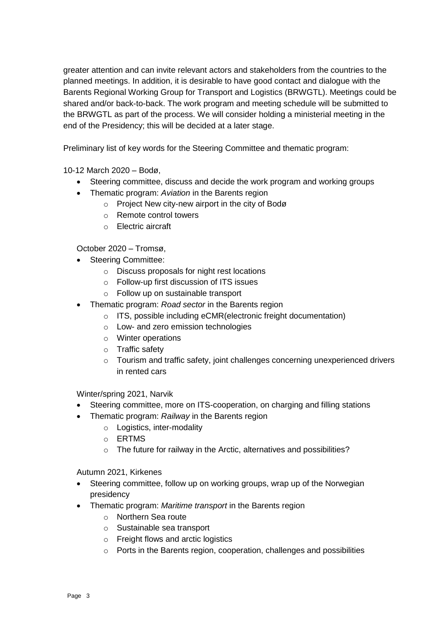greater attention and can invite relevant actors and stakeholders from the countries to the planned meetings. In addition, it is desirable to have good contact and dialogue with the Barents Regional Working Group for Transport and Logistics (BRWGTL). Meetings could be shared and/or back-to-back. The work program and meeting schedule will be submitted to the BRWGTL as part of the process. We will consider holding a ministerial meeting in the end of the Presidency; this will be decided at a later stage.

Preliminary list of key words for the Steering Committee and thematic program:

10-12 March 2020 – Bodø,

- Steering committee, discuss and decide the work program and working groups
- Thematic program: *Aviation* in the Barents region
	- o Project New city-new airport in the city of Bodø
	- o Remote control towers
	- o Electric aircraft

October 2020 – Tromsø,

- Steering Committee:
	- o Discuss proposals for night rest locations
	- o Follow-up first discussion of ITS issues
	- o Follow up on sustainable transport
- Thematic program: *Road sector* in the Barents region
	- o ITS, possible including eCMR(electronic freight documentation)
	- o Low- and zero emission technologies
	- o Winter operations
	- o Traffic safety
	- $\circ$  Tourism and traffic safety, joint challenges concerning unexperienced drivers in rented cars

Winter/spring 2021, Narvik

- Steering committee, more on ITS-cooperation, on charging and filling stations
	- Thematic program: *Railway* in the Barents region
		- o Logistics, inter-modality
		- o ERTMS
		- o The future for railway in the Arctic, alternatives and possibilities?

Autumn 2021, Kirkenes

- Steering committee, follow up on working groups, wrap up of the Norwegian presidency
- Thematic program: *Maritime transport* in the Barents region
	- o Northern Sea route
	- o Sustainable sea transport
	- o Freight flows and arctic logistics
	- o Ports in the Barents region, cooperation, challenges and possibilities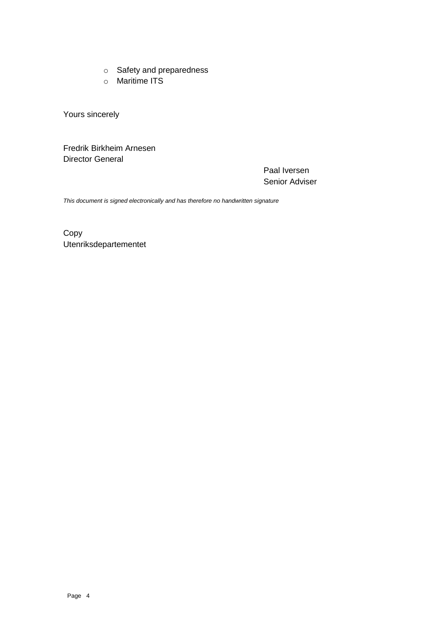- o Safety and preparedness
- o Maritime ITS

Yours sincerely

Fredrik Birkheim Arnesen Director General

> Paal Iversen Senior Adviser

*This document is signed electronically and has therefore no handwritten signature*

Copy Utenriksdepartementet